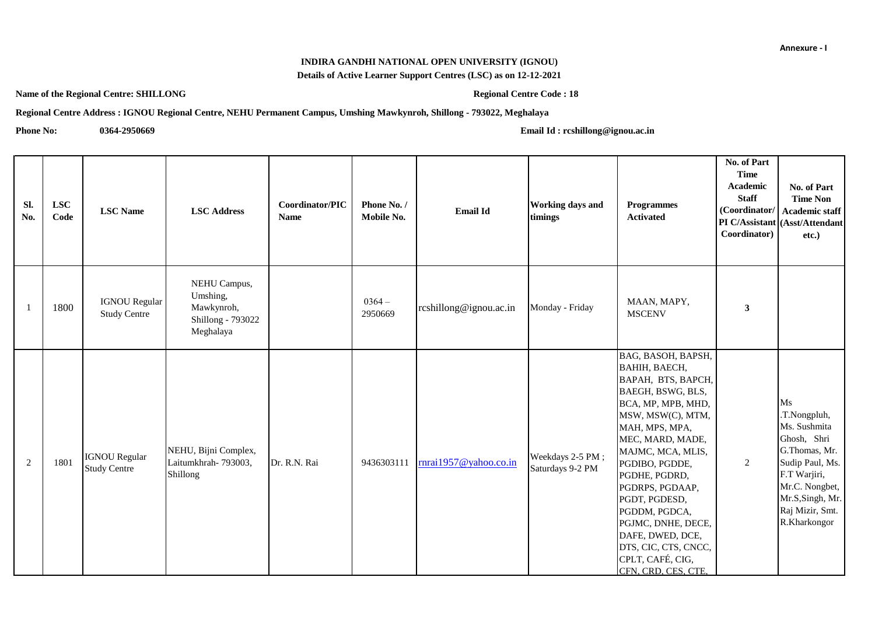## **INDIRA GANDHI NATIONAL OPEN UNIVERSITY (IGNOU)**

**Details of Active Learner Support Centres (LSC) as on 12-12-2021**

**Name of the Regional Centre: SHILLONG Regional Centre Code : 18** 

**Regional Centre Address : IGNOU Regional Centre, NEHU Permanent Campus, Umshing Mawkynroh, Shillong - 793022, Meghalaya**

**Phone No: 0364-2950669 [Em](mailto:rcshillong@ignou.ac.in)ail Id : rcshillong@ignou.ac.in**

| Sl.<br>No.   | <b>LSC</b><br>Code | <b>LSC</b> Name                             | <b>LSC Address</b>                                                       | Coordinator/PIC<br><b>Name</b> | Phone No. /<br>Mobile No. | <b>Email Id</b>        | Working days and<br>timings          | <b>Programmes</b><br><b>Activated</b>                                                                                                                                                                                                                                                                                                                                                     | No. of Part<br><b>Time</b><br>Academic<br><b>Staff</b><br>(Coordinator/<br>Coordinator) | No. of Part<br><b>Time Non</b><br><b>Academic staff</b><br>PI C/Assistant (Asst/Attendant<br>etc.)                                                                             |
|--------------|--------------------|---------------------------------------------|--------------------------------------------------------------------------|--------------------------------|---------------------------|------------------------|--------------------------------------|-------------------------------------------------------------------------------------------------------------------------------------------------------------------------------------------------------------------------------------------------------------------------------------------------------------------------------------------------------------------------------------------|-----------------------------------------------------------------------------------------|--------------------------------------------------------------------------------------------------------------------------------------------------------------------------------|
| $\mathbf{1}$ | 1800               | <b>IGNOU Regular</b><br><b>Study Centre</b> | NEHU Campus,<br>Umshing,<br>Mawkynroh,<br>Shillong - 793022<br>Meghalaya |                                | $0364-$<br>2950669        | rcshillong@ignou.ac.in | Monday - Friday                      | MAAN, MAPY,<br><b>MSCENV</b>                                                                                                                                                                                                                                                                                                                                                              | $\mathbf{3}$                                                                            |                                                                                                                                                                                |
| 2            | 1801               | <b>IGNOU Regular</b><br><b>Study Centre</b> | NEHU, Bijni Complex,<br>Laitumkhrah- 793003,<br>Shillong                 | Dr. R.N. Rai                   | 9436303111                | rnrai1957@yahoo.co.in  | Weekdays 2-5 PM;<br>Saturdays 9-2 PM | BAG, BASOH, BAPSH,<br>BAHIH, BAECH,<br>BAPAH, BTS, BAPCH,<br>BAEGH, BSWG, BLS,<br>BCA, MP, MPB, MHD,<br>MSW, MSW(C), MTM,<br>MAH, MPS, MPA,<br>MEC, MARD, MADE,<br>MAJMC, MCA, MLIS,<br>PGDIBO, PGDDE,<br>PGDHE, PGDRD,<br>PGDRPS, PGDAAP,<br>PGDT, PGDESD,<br>PGDDM, PGDCA,<br>PGJMC, DNHE, DECE,<br>DAFE, DWED, DCE,<br>DTS, CIC, CTS, CNCC,<br>CPLT, CAFÉ, CIG,<br>CFN, CRD, CES, CTE, | 2                                                                                       | Ms<br>.T.Nongpluh,<br>Ms. Sushmita<br>Ghosh, Shri<br>G.Thomas, Mr.<br>Sudip Paul, Ms.<br>F.T Warjiri,<br>Mr.C. Nongbet,<br>Mr.S, Singh, Mr.<br>Raj Mizir, Smt.<br>R.Kharkongor |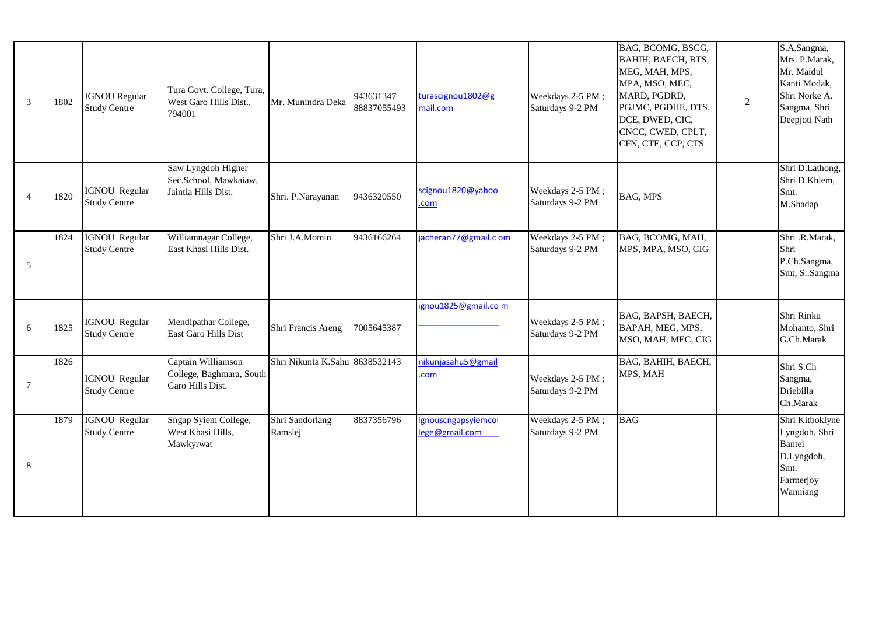| $\mathfrak{Z}$           | 1802 | <b>IGNOU Regular</b><br><b>Study Centre</b> | Tura Govt. College, Tura,<br>West Garo Hills Dist.,<br>794001      | Mr. Munindra Deka              | 943631347<br>88837055493 | turascignou1802@g<br>mail.com         | Weekdays 2-5 PM;<br>Saturdays 9-2 PM | BAG, BCOMG, BSCG,<br>BAHIH, BAECH, BTS,<br>MEG, MAH, MPS,<br>MPA, MSO, MEC,<br>MARD, PGDRD,<br>PGJMC, PGDHE, DTS,<br>DCE, DWED, CIC,<br>CNCC, CWED, CPLT,<br>CFN, CTE, CCP, CTS | $\overline{2}$ | S.A.Sangma,<br>Mrs. P.Marak,<br>Mr. Maidul<br>Kanti Modak,<br>Shri Norke A.<br>Sangma, Shri<br>Deepjoti Nath |
|--------------------------|------|---------------------------------------------|--------------------------------------------------------------------|--------------------------------|--------------------------|---------------------------------------|--------------------------------------|---------------------------------------------------------------------------------------------------------------------------------------------------------------------------------|----------------|--------------------------------------------------------------------------------------------------------------|
| $\overline{\mathcal{A}}$ | 1820 | <b>IGNOU Regular</b><br><b>Study Centre</b> | Saw Lyngdoh Higher<br>Sec.School, Mawkaiaw,<br>Jaintia Hills Dist. | Shri. P.Narayanan              | 9436320550               | scignou1820@yahoo<br>com              | Weekdays 2-5 PM;<br>Saturdays 9-2 PM | <b>BAG, MPS</b>                                                                                                                                                                 |                | Shri D.Lathong,<br>Shri D.Khlem,<br>Smt.<br>M.Shadap                                                         |
| 5                        | 1824 | <b>IGNOU Regular</b><br><b>Study Centre</b> | Williamnagar College,<br>East Khasi Hills Dist.                    | Shri J.A.Momin                 | 9436166264               | jacheran77@gmail.c om                 | Weekdays 2-5 PM;<br>Saturdays 9-2 PM | BAG, BCOMG, MAH,<br>MPS, MPA, MSO, CIG                                                                                                                                          |                | Shri .R.Marak,<br>Shri<br>P.Ch.Sangma,<br>Smt, S. Sangma                                                     |
| 6                        | 1825 | IGNOU Regular<br><b>Study Centre</b>        | Mendipathar College,<br>East Garo Hills Dist                       | Shri Francis Areng             | 7005645387               | ignou1825@gmail.com                   | Weekdays 2-5 PM;<br>Saturdays 9-2 PM | BAG, BAPSH, BAECH,<br>BAPAH, MEG, MPS,<br>MSO, MAH, MEC, CIG                                                                                                                    |                | Shri Rinku<br>Mohanto, Shri<br>G.Ch.Marak                                                                    |
| $\overline{7}$           | 1826 | <b>IGNOU Regular</b><br><b>Study Centre</b> | Captain Williamson<br>College, Baghmara, South<br>Garo Hills Dist. | Shri Nikunta K.Sahu 8638532143 |                          | nikunjasahu5@gmail<br>.com            | Weekdays 2-5 PM;<br>Saturdays 9-2 PM | BAG, BAHIH, BAECH,<br>MPS, MAH                                                                                                                                                  |                | Shri S.Ch<br>Sangma,<br>Driebilla<br>Ch.Marak                                                                |
| 8                        | 1879 | <b>IGNOU</b> Regular<br><b>Study Centre</b> | Sngap Syiem College,<br>West Khasi Hills,<br>Mawkyrwat             | Shri Sandorlang<br>Ramsiej     | 8837356796               | ignouscngapsyiemcol<br>lege@gmail.com | Weekdays 2-5 PM;<br>Saturdays 9-2 PM | <b>BAG</b>                                                                                                                                                                      |                | Shri Kitboklyne<br>Lyngdoh, Shri<br>Bantei<br>D.Lyngdoh,<br>Smt.<br>Farmerjoy<br>Wanniang                    |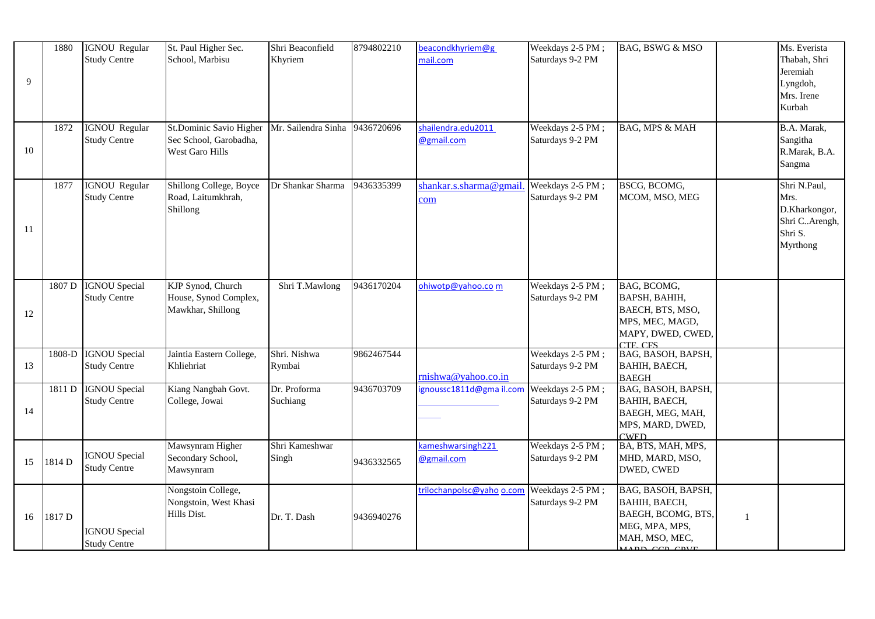| 9  | 1880   | IGNOU Regular<br><b>Study Centre</b>        | St. Paul Higher Sec.<br>School, Marbisu                              | Shri Beaconfield<br>Khyriem | 8794802210 | beacondkhyriem@g<br>mail.com                | Weekdays 2-5 PM;<br>Saturdays 9-2 PM | BAG, BSWG & MSO                                                                                                     |              | Ms. Everista<br>Thabah, Shri<br>Jeremiah<br>Lyngdoh,<br>Mrs. Irene<br>Kurbah  |
|----|--------|---------------------------------------------|----------------------------------------------------------------------|-----------------------------|------------|---------------------------------------------|--------------------------------------|---------------------------------------------------------------------------------------------------------------------|--------------|-------------------------------------------------------------------------------|
| 10 | 1872   | <b>IGNOU Regular</b><br><b>Study Centre</b> | St.Dominic Savio Higher<br>Sec School, Garobadha,<br>West Garo Hills | Mr. Sailendra Sinha         | 9436720696 | shailendra.edu2011<br>@gmail.com            | Weekdays 2-5 PM;<br>Saturdays 9-2 PM | <b>BAG, MPS &amp; MAH</b>                                                                                           |              | B.A. Marak,<br>Sangitha<br>R.Marak, B.A.<br>Sangma                            |
| 11 | 1877   | <b>IGNOU Regular</b><br><b>Study Centre</b> | Shillong College, Boyce<br>Road, Laitumkhrah,<br>Shillong            | Dr Shankar Sharma           | 9436335399 | shankar.s.sharma@gmail.<br>com              | Weekdays 2-5 PM;<br>Saturdays 9-2 PM | BSCG, BCOMG,<br>MCOM, MSO, MEG                                                                                      |              | Shri N.Paul,<br>Mrs.<br>D.Kharkongor,<br>Shri CArengh,<br>Shri S.<br>Myrthong |
| 12 | 1807 D | <b>IGNOU</b> Special<br><b>Study Centre</b> | KJP Synod, Church<br>House, Synod Complex,<br>Mawkhar, Shillong      | Shri T.Mawlong              | 9436170204 | ohiwotp@yahoo.com                           | Weekdays 2-5 PM;<br>Saturdays 9-2 PM | BAG, BCOMG,<br>BAPSH, BAHIH,<br>BAECH, BTS, MSO,<br>MPS, MEC, MAGD,<br>MAPY, DWED, CWED,<br><b>CTE CES</b>          |              |                                                                               |
| 13 | 1808-D | <b>IGNOU</b> Special<br><b>Study Centre</b> | Jaintia Eastern College,<br>Khliehriat                               | Shri. Nishwa<br>Rymbai      | 9862467544 | rnishwa@yahoo.co.in                         | Weekdays 2-5 PM;<br>Saturdays 9-2 PM | BAG, BASOH, BAPSH,<br>BAHIH, BAECH,<br><b>BAEGH</b>                                                                 |              |                                                                               |
| 14 | 1811 D | <b>IGNOU Special</b><br><b>Study Centre</b> | Kiang Nangbah Govt.<br>College, Jowai                                | Dr. Proforma<br>Suchiang    | 9436703709 | ignoussc1811d@gmail.com                     | Weekdays 2-5 PM;<br>Saturdays 9-2 PM | BAG, BASOH, BAPSH,<br>ВАНІН, ВАЕСН,<br>BAEGH, MEG, MAH,<br>MPS, MARD, DWED,<br><b>CWED</b>                          |              |                                                                               |
| 15 | 1814D  | <b>IGNOU</b> Special<br><b>Study Centre</b> | Mawsynram Higher<br>Secondary School,<br>Mawsynram                   | Shri Kameshwar<br>Singh     | 9436332565 | kameshwarsingh <sub>221</sub><br>@gmail.com | Weekdays 2-5 PM;<br>Saturdays 9-2 PM | BA, BTS, MAH, MPS,<br>MHD, MARD, MSO,<br>DWED, CWED                                                                 |              |                                                                               |
| 16 | 1817 D | <b>IGNOU</b> Special<br><b>Study Centre</b> | Nongstoin College,<br>Nongstoin, West Khasi<br>Hills Dist.           | Dr. T. Dash                 | 9436940276 | trilochanpolsc@yaho o.com                   | Weekdays 2-5 PM;<br>Saturdays 9-2 PM | BAG, BASOH, BAPSH,<br>BAHIH, BAECH,<br>BAEGH, BCOMG, BTS,<br>MEG, MPA, MPS,<br>MAH, MSO, MEC,<br>$ADD$ $CDD$ $CDUD$ | $\mathbf{1}$ |                                                                               |